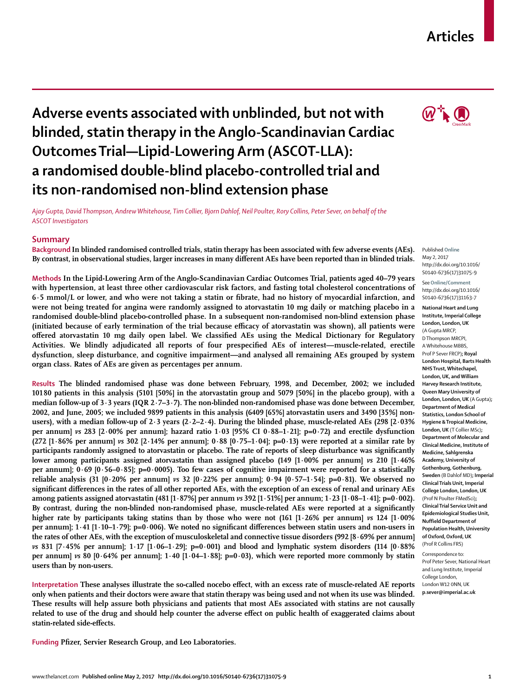# **Adverse events associated with unblinded, but not with blinded, statin therapy in the Anglo-Scandinavian Cardiac Outcomes Trial—Lipid-Lowering Arm (ASCOT-LLA): a randomised double-blind placebo-controlled trial and its non-randomised non-blind extension phase**

*Ajay Gupta, David Thompson, Andrew Whitehouse, Tim Collier, Bjorn Dahlof, Neil Poulter, Rory Collins, Peter Sever, on behalf of the ASCOT Investigators*

# **Summary**

**Background In blinded randomised controlled trials, statin therapy has been associated with few adverse events (AEs). By contrast, in observational studies, larger increases in many different AEs have been reported than in blinded trials.**

**Methods In the Lipid-Lowering Arm of the Anglo-Scandinavian Cardiac Outcomes Trial, patients aged 40–79 years with hypertension, at least three other cardiovascular risk factors, and fasting total cholesterol concentrations of 6·5 mmol/L or lower, and who were not taking a statin or fibrate, had no history of myocardial infarction, and were not being treated for angina were randomly assigned to atorvastatin 10 mg daily or matching placebo in a randomised double-blind placebo-controlled phase. In a subsequent non-randomised non-blind extension phase (initiated because of early termination of the trial because efficacy of atorvastatin was shown), all patients were offered atorvastatin 10 mg daily open label. We classified AEs using the Medical Dictionary for Regulatory Activities. We blindly adjudicated all reports of four prespecified AEs of interest—muscle-related, erectile dysfunction, sleep disturbance, and cognitive impairment—and analysed all remaining AEs grouped by system organ class. Rates of AEs are given as percentages per annum.**

**Results The blinded randomised phase was done between February, 1998, and December, 2002; we included 101 80 patients in this analysis (5101 [50%] in the atorvastatin group and 5079 [50%] in the placebo group), with a median follow-up of 3·3 years (IQR 2·7–3·7). The non-blinded non-randomised phase was done between December, 2002, and June, 2005; we included 9899 patients in this analysis (6409 [65%] atorvastatin users and 3490 [35%] nonusers), with a median follow-up of 2·3 years (2·2–2·4). During the blinded phase, muscle-related AEs (298 [2·03% per annum]** *vs* **283 [2·00% per annum]; hazard ratio 1·03 [95% CI 0·88–1·21]; p=0·72) and erectile dysfunction (272 [1·86% per annum]** *vs* **302 [2·14% per annum]; 0·88 [0·75–1·04]; p=0·13) were reported at a similar rate by participants randomly assigned to atorvastatin or placebo. The rate of reports of sleep disturbance was significantly lower among participants assigned atorvastatin than assigned placebo (149 [1·00% per annum]** *vs* **210 [1·46% per annum]; 0·69 [0·56–0·85]; p=0·0005). Too few cases of cognitive impairment were reported for a statistically reliable analysis (31 [0·20% per annum]** *vs* **32 [0·22% per annum]; 0·94 [0·57–1·54]; p=0·81). We observed no significant differences in the rates of all other reported AEs, with the exception of an excess of renal and urinary AEs among patients assigned atorvastatin (481 [1·87%] per annum** *vs* **392 [1·51%] per annum; 1·23 [1·08–1·41]; p=0·002). By contrast, during the non-blinded non-randomised phase, muscle-related AEs were reported at a significantly higher rate by participants taking statins than by those who were not (161 [1·26% per annum]** *vs* **124 [1·00% per annum]; 1·41 [1·10–1·79]; p=0·006). We noted no significant differences between statin users and non-users in the rates of other AEs, with the exception of musculoskeletal and connective tissue disorders (992 [8·69% per annum]**  *vs* **831 [7·45% per annum]; 1·17 [1·06–1·29]; p=0·001) and blood and lymphatic system disorders (114 [0·88% per annum]** *vs* **80 [0·64% per annum]; 1·40 [1·04–1·88]; p=0·03), which were reported more commonly by statin users than by non-users.** 

**Interpretation These analyses illustrate the so-called nocebo effect, with an excess rate of muscle-related AE reports only when patients and their doctors were aware that statin therapy was being used and not when its use was blinded. These results will help assure both physicians and patients that most AEs associated with statins are not causally related to use of the drug and should help counter the adverse effect on public health of exaggerated claims about statin-related side-effects.**

**Funding Pfizer, Servier Research Group, and Leo Laboratories.**

Published **Online** May 2, 2017 http://dx.doi.org/10.1016/ S0140-6736(17)31075-9

See**Online/Comment** http://dx.doi.org/10.1016/ S0140-6736(17)31163-7 **National Heart and Lung Institute, Imperial College London, London, UK**  (A Gupta MRCP, D Thompson MRCPI, A Whitehouse MBBS, Prof P Sever FRCP)**; Royal London Hospital, Barts Health NHS Trust, Whitechapel, London, UK, and William Harvey Research Institute, Queen Mary University of London, London, UK** (A Gupta)**; Department of Medical Statistics, London School of Hygiene & Tropical Medicine, London, UK** (T Collier MSc)**; Department of Molecular and Clinical Medicine, Institute of Medicine, Sahlgrenska Academy, University of Gothenburg, Gothenburg, Sweden** (B Dahlof MD)**; Imperial Clinical Trials Unit, Imperial College London, London, UK** (Prof N Poulter FMedSci)**; Clinical Trial Service Unit and Epidemiological Studies Unit, Nuffield Department of Population Health, University of Oxford, Oxford, UK** (Prof R Collins FRS)

Correspondence to: Prof Peter Sever, National Heart and Lung Institute, Imperial College London, London W12 0NN, UK **p.sever@imperial.ac.uk** 

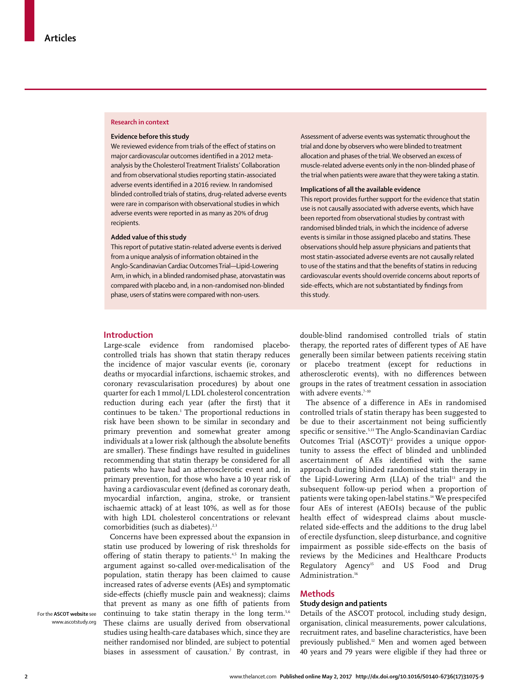### **Research in context**

### **Evidence before this study**

We reviewed evidence from trials of the effect of statins on major cardiovascular outcomes identified in a 2012 metaanalysis by the Cholesterol Treatment Trialists' Collaboration and from observational studies reporting statin-associated adverse events identified in a 2016 review. In randomised blinded controlled trials of statins, drug-related adverse events were rare in comparison with observational studies in which adverse events were reported in as many as 20% of drug recipients.

## **Added value of this study**

This report of putative statin-related adverse events is derived from a unique analysis of information obtained in the Anglo-Scandinavian Cardiac Outcomes Trial—Lipid-Lowering Arm, in which, in a blinded randomised phase, atorvastatin was compared with placebo and, in a non-randomised non-blinded phase, users of statins were compared with non-users.

Assessment of adverse events was systematic throughout the trial and done by observers who were blinded to treatment allocation and phases of the trial. We observed an excess of muscle-related adverse events only in the non-blinded phase of the trial when patients were aware that they were taking a statin.

## **Implications of all the available evidence**

This report provides further support for the evidence that statin use is not causally associated with adverse events, which have been reported from observational studies by contrast with randomised blinded trials, in which the incidence of adverse events is similar in those assigned placebo and statins. These observations should help assure physicians and patients that most statin-associated adverse events are not causally related to use of the statins and that the benefits of statins in reducing cardiovascular events should override concerns about reports of side-effects, which are not substantiated by findings from this study.

# **Introduction**

Large-scale evidence from randomised placebocontrolled trials has shown that statin therapy reduces the incidence of major vascular events (ie, coronary deaths or myocardial infarctions, ischaemic strokes, and coronary revascularisation procedures) by about one quarter for each 1 mmol/L LDL cholesterol concentration reduction during each year (after the first) that it continues to be taken.<sup>1</sup> The proportional reductions in risk have been shown to be similar in secondary and primary prevention and somewhat greater among individuals at a lower risk (although the absolute benefits are smaller). These findings have resulted in guidelines recommending that statin therapy be considered for all patients who have had an atherosclerotic event and, in primary prevention, for those who have a 10 year risk of having a cardiovascular event (defined as coronary death, myocardial infarction, angina, stroke, or transient ischaemic attack) of at least 10%, as well as for those with high LDL cholesterol concentrations or relevant comorbidities (such as diabetes).<sup>2,3</sup>

Concerns have been expressed about the expansion in statin use produced by lowering of risk thresholds for offering of statin therapy to patients.<sup>4,5</sup> In making the argument against so-called over-medicalisation of the population, statin therapy has been claimed to cause increased rates of adverse events (AEs) and symptomatic side-effects (chiefly muscle pain and weakness); claims that prevent as many as one fifth of patients from continuing to take statin therapy in the long term.<sup>5,6</sup> These claims are usually derived from observational studies using health-care databases which, since they are neither randomised nor blinded, are subject to potential biases in assessment of causation.7 By contrast, in double-blind randomised controlled trials of statin therapy, the reported rates of different types of AE have generally been similar between patients receiving statin or placebo treatment (except for reductions in atherosclerotic events), with no differences between groups in the rates of treatment cessation in association with advere events.<sup>7-10</sup>

The absence of a difference in AEs in randomised controlled trials of statin therapy has been suggested to be due to their ascertainment not being sufficiently specific or sensitive.<sup>5,11</sup> The Anglo-Scandinavian Cardiac Outcomes Trial (ASCOT)<sup>12</sup> provides a unique opportunity to assess the effect of blinded and unblinded ascertainment of AEs identified with the same approach during blinded randomised statin therapy in the Lipid-Lowering Arm (LLA) of the trial<sup>13</sup> and the subsequent follow-up period when a proportion of patients were taking open-label statins.<sup>14</sup> We prespecifed four AEs of interest (AEOIs) because of the public health effect of widespread claims about musclerelated side-effects and the additions to the drug label of erectile dysfunction, sleep disturbance, and cognitive impairment as possible side-effects on the basis of reviews by the Medicines and Healthcare Products Regulatory Agency15 and US Food and Drug Administration.<sup>16</sup>

### **Methods**

## **Study design and patients**

Details of the [ASCOT](www.ascotstudy.org) protocol, including study design, organisation, clinical measurements, power calculations, recruitment rates, and baseline characteristics, have been previously published.12 Men and women aged between 40 years and 79 years were eligible if they had three or

For the **ASCOT website** see www.ascotstudy.org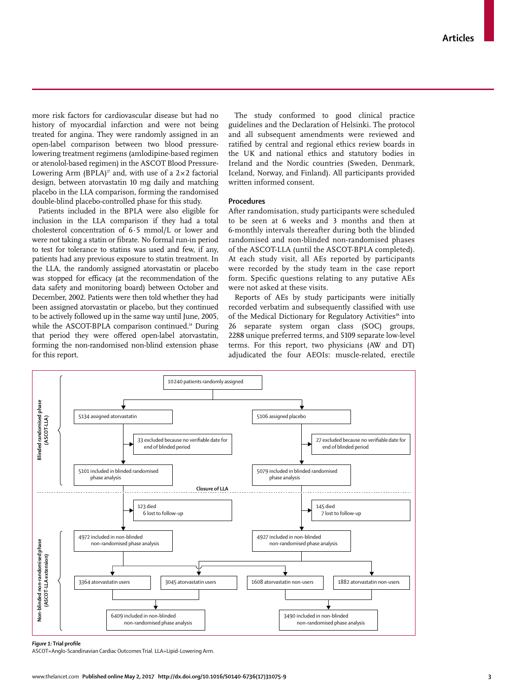more risk factors for cardiovascular disease but had no history of myocardial infarction and were not being treated for angina. They were randomly assigned in an open-label comparison between two blood pressurelowering treatment regimens (amlodipine-based regimen or atenolol-based regimen) in the ASCOT Blood Pressure-Lowering Arm (BPLA)<sup>17</sup> and, with use of a  $2\times2$  factorial design, between atorvastatin 10 mg daily and matching placebo in the LLA comparison, forming the randomised double-blind placebo-controlled phase for this study.

Patients included in the BPLA were also eligible for inclusion in the LLA comparison if they had a total cholesterol concentration of 6·5 mmol/L or lower and were not taking a statin or fibrate. No formal run-in period to test for tolerance to statins was used and few, if any, patients had any previous exposure to statin treatment. In the LLA, the randomly assigned atorvastatin or placebo was stopped for efficacy (at the recommendation of the data safety and monitoring board) between October and December, 2002. Patients were then told whether they had been assigned atorvastatin or placebo, but they continued to be actively followed up in the same way until June, 2005, while the ASCOT-BPLA comparison continued.<sup>14</sup> During that period they were offered open-label atorvastatin, forming the non-randomised non-blind extension phase for this report.

The study conformed to good clinical practice guidelines and the Declaration of Helsinki. The protocol and all subsequent amendments were reviewed and ratified by central and regional ethics review boards in the UK and national ethics and statutory bodies in Ireland and the Nordic countries (Sweden, Denmark, Iceland, Norway, and Finland). All participants provided written informed consent.

## **Procedures**

After randomisation, study participants were scheduled to be seen at 6 weeks and 3 months and then at 6-monthly intervals thereafter during both the blinded randomised and non-blinded non-randomised phases of the ASCOT-LLA (until the ASCOT-BPLA completed). At each study visit, all AEs reported by participants were recorded by the study team in the case report form. Specific questions relating to any putative AEs were not asked at these visits.

Reports of AEs by study participants were initially recorded verbatim and subsequently classified with use of the Medical Dictionary for Regulatory Activities<sup>18</sup> into 26 separate system organ class (SOC) groups, 2288 unique preferred terms, and 5109 separate low-level terms. For this report, two physicians (AW and DT) adjudicated the four AEOIs: muscle-related, erectile



#### *Figure 1:* **Trial profile**

ASCOT=Anglo-Scandinavian Cardiac Outcomes Trial. LLA=Lipid-Lowering Arm.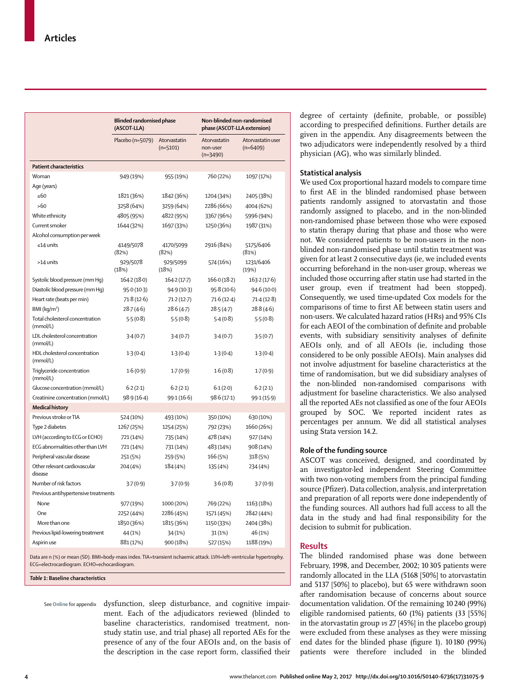|                                                                                                                     | <b>Blinded randomised phase</b><br>(ASCOT-LLA) |                            | Non-blinded non-randomised<br>phase (ASCOT-LLA extension) |                                 |  |  |
|---------------------------------------------------------------------------------------------------------------------|------------------------------------------------|----------------------------|-----------------------------------------------------------|---------------------------------|--|--|
|                                                                                                                     | Placebo (n=5079)                               | Atorvastatin<br>$(n=5101)$ | Atorvastatin<br>non-user<br>$(n=3490)$                    | Atorvastatin user<br>$(n=6409)$ |  |  |
| <b>Patient characteristics</b>                                                                                      |                                                |                            |                                                           |                                 |  |  |
| Woman                                                                                                               | 949 (19%)                                      | 955 (19%)                  | 760 (22%)                                                 | 1097 (17%)                      |  |  |
| Age (years)                                                                                                         |                                                |                            |                                                           |                                 |  |  |
| $\leq 60$                                                                                                           | 1821 (36%)                                     | 1842 (36%)                 | 1204 (34%)                                                | 2405 (38%)                      |  |  |
| >60                                                                                                                 | 3258 (64%)                                     | 3259 (64%)                 | 2286 (66%)                                                | 4004 (62%)                      |  |  |
| White ethnicity                                                                                                     | 4805 (95%)                                     | 4822 (95%)                 | 3367 (96%)                                                | 5996 (94%)                      |  |  |
| Current smoker                                                                                                      | 1644 (32%)                                     | 1697 (33%)                 | 1250 (36%)                                                | 1987 (31%)                      |  |  |
| Alcohol consumption per week                                                                                        |                                                |                            |                                                           |                                 |  |  |
| ≤14 units                                                                                                           | 4149/5078<br>(82%)                             | 4170/5099<br>(82%)         | 2916 (84%)                                                | 5175/6406<br>(81%)              |  |  |
| >14 units                                                                                                           | 929/5078<br>(18%)                              | 929/5099<br>(18%)          | 574 (16%)                                                 | 1231/6406<br>(19%)              |  |  |
| Systolic blood pressure (mm Hq)                                                                                     | 164.2(18.0)                                    | 164.2(17.7)                | 166.0 (18.2)                                              | 163.2(17.6)                     |  |  |
| Diastolic blood pressure (mm Hq)                                                                                    | 95.0(10.3)                                     | 94.9(10.3)                 | 95.8(10.6)                                                | 94.6(10.0)                      |  |  |
| Heart rate (beats per min)                                                                                          | 71.8(12.6)                                     | 71.2(12.7)                 | 71.6(12.4)                                                | 71.4(12.8)                      |  |  |
| $BMl$ (kg/m <sup>2</sup> )                                                                                          | 28.7(4.6)                                      | 28.6(4.7)                  | 28.5(4.7)                                                 | 28.8 (4.6)                      |  |  |
| Total cholesterol concentration<br>(mmol/L)                                                                         | 5.5(0.8)                                       | 5.5(0.8)                   | 5.4(0.8)                                                  | 5.5(0.8)                        |  |  |
| LDL cholesterol concentration<br>(mmol/L)                                                                           | 3.4(0.7)                                       | 3.4(0.7)                   | 3.4(0.7)                                                  | 3.5(0.7)                        |  |  |
| HDL cholesterol concentration<br>(mmol/L)                                                                           | 1.3(0.4)                                       | 1.3(0.4)                   | 1.3(0.4)                                                  | 1.3(0.4)                        |  |  |
| Triglyceride concentration<br>(mmol/L)                                                                              | 1.6(0.9)                                       | 1.7(0.9)                   | 1.6(0.8)                                                  | 1.7(0.9)                        |  |  |
| Glucose concentration (mmol/L)                                                                                      | 6.2(2.1)                                       | 6.2(2.1)                   | 6.1(2.0)                                                  | 6.2(2.1)                        |  |  |
| Creatinine concentration (mmol/L)                                                                                   | 98.9 (16.4)                                    | 99.1 (16.6)                | 98.6(17.1)                                                | 99-1 (15-9)                     |  |  |
| <b>Medical history</b>                                                                                              |                                                |                            |                                                           |                                 |  |  |
| Previous stroke or TIA                                                                                              | 524 (10%)                                      | 493 (10%)                  | 350 (10%)                                                 | 630 (10%)                       |  |  |
| Type 2 diabetes                                                                                                     | 1267 (25%)                                     | 1254 (25%)                 | 792 (23%)                                                 | 1660 (26%)                      |  |  |
| LVH (according to ECG or ECHO)                                                                                      | 721 (14%)                                      | 735 (14%)                  | 478 (14%)                                                 | 927 (14%)                       |  |  |
| ECG abnormalities other than LVH                                                                                    | 721 (14%)                                      | 731 (14%)                  | 483 (14%)                                                 | 908 (14%)                       |  |  |
| Peripheral vascular disease                                                                                         | 251 (5%)                                       | 259 (5%)                   | 166 (5%)                                                  | 318 (5%)                        |  |  |
| Other relevant cardiovascular<br>disease                                                                            | 204 (4%)                                       | 184 (4%)                   | 135 (4%)                                                  | 234 (4%)                        |  |  |
| Number of risk factors                                                                                              | 3.7(0.9)                                       | 3.7(0.9)                   | 3.6(0.8)                                                  | 3.7(0.9)                        |  |  |
| Previous antihypertensive treatments                                                                                |                                                |                            |                                                           |                                 |  |  |
| None                                                                                                                | 977 (19%)                                      | 1000 (20%)                 | 769 (22%)                                                 | 1163 (18%)                      |  |  |
| One                                                                                                                 | 2252 (44%)                                     | 2286 (45%)                 | 1571 (45%)                                                | 2842 (44%)                      |  |  |
| More than one                                                                                                       | 1850 (36%)                                     | 1815 (36%)                 | 1150 (33%)                                                | 2404 (38%)                      |  |  |
| Previous lipid-lowering treatment                                                                                   | 44 (1%)                                        | 34 (1%)                    | 31 (1%)                                                   | 46 (1%)                         |  |  |
| Aspirin use                                                                                                         | 881 (17%)                                      | 900 (18%)                  | 527 (15%)                                                 | 1188 (19%)                      |  |  |
| Data are n (%) or mean (SD). BMI=body-mass index. TIA=transient ischaemic attack. LVH=left-ventricular hypertrophy. |                                                |                            |                                                           |                                 |  |  |

ECG=electrocardiogram. ECHO=echocardiogram.

*Table 1***: Baseline characteristics**

dysfunction, sleep disturbance, and cognitive impairment. Each of the adjudicators reviewed (blinded to baseline characteristics, randomised treatment, nonstudy statin use, and trial phase) all reported AEs for the presence of any of the four AEOIs and, on the basis of the description in the case report form, classified their See **Online** for appendix

degree of certainty (definite, probable, or possible) according to prespecified definitions. Further details are given in the appendix. Any disagreements between the two adjudicators were independently resolved by a third physician (AG), who was similarly blinded.

## **Statistical analysis**

We used Cox proportional hazard models to compare time to first AE in the blinded randomised phase between patients randomly assigned to atorvastatin and those randomly assigned to placebo, and in the non-blinded non-randomised phase between those who were exposed to statin therapy during that phase and those who were not. We considered patients to be non-users in the nonblinded non-randomised phase until statin treatment was given for at least 2 consecutive days (ie, we included events occurring beforehand in the non-user group, whereas we included those occurring after statin use had started in the user group, even if treatment had been stopped). Consequently, we used time-updated Cox models for the comparisons of time to first AE between statin users and non-users. We calculated hazard ratios (HRs) and 95% CIs for each AEOI of the combination of definite and probable events, with subsidiary sensitivity analyses of definite AEOIs only, and of all AEOIs (ie, including those considered to be only possible AEOIs). Main analyses did not involve adjustment for baseline characteristics at the time of randomisation, but we did subsidiary analyses of the non-blinded non-randomised comparisons with adjustment for baseline characteristics. We also analysed all the reported AEs not classified as one of the four AEOIs grouped by SOC. We reported incident rates as percentages per annum. We did all statistical analyses using Stata version 14.2.

## **Role of the funding source**

ASCOT was conceived, designed, and coordinated by an investigator-led independent Steering Committee with two non-voting members from the principal funding source (Pfizer). Data collection, analysis, and interpretation and preparation of all reports were done independently of the funding sources. All authors had full access to all the data in the study and had final responsibility for the decision to submit for publication.

# **Results**

The blinded randomised phase was done between February, 1998, and December, 2002; 10305 patients were randomly allocated in the LLA (5168 [50%] to atorvastatin and 5137 [50%] to placebo), but 65 were withdrawn soon after randomisation because of concerns about source documentation validation. Of the remaining 10240 (99%) eligible randomised patients, 60 (1%) patients (33 [55%] in the atorvastatin group *vs* 27 [45%] in the placebo group) were excluded from these analyses as they were missing end dates for the blinded phase (figure 1). 10180 (99%) patients were therefore included in the blinded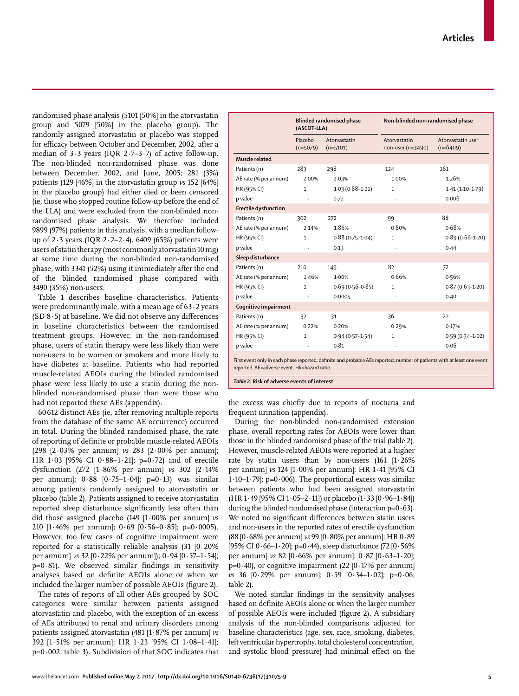randomised phase analysis (5101 [50%] in the atorvastatin group and 5079 [50%] in the placebo group). The randomly assigned atorvastatin or placebo was stopped for efficacy between October and December, 2002, after a median of 3·3 years (IQR 2·7–3·7) of active follow-up. The non-blinded non-randomised phase was done between December, 2002, and June, 2005; 281 (3%) patients (129 [46%] in the atorvastatin group *vs* 152 [64%] in the placebo group) had either died or been censored (ie, those who stopped routine follow-up before the end of the LLA) and were excluded from the non-blinded nonrandomised phase analysis. We therefore included 9899 (97%) patients in this analysis, with a median followup of  $2.3$  years (IQR  $2.2-2.4$ ). 6409 (65%) patients were users of statin therapy (most commonly atorvastatin 10 mg) at some time during the non-blinded non-randomised phase, with 3341 (52%) using it immediately after the end of the blinded randomised phase compared with 3490 (35%) non-users.

Table 1 describes baseline characteristics. Patients were predominantly male, with a mean age of  $63.2$  years (SD 8·5) at baseline. We did not observe any differences in baseline characteristics between the randomised treatment groups. However, in the non-randomised phase, users of statin therapy were less likely than were non-users to be women or smokers and more likely to have diabetes at baseline. Patients who had reported muscle-related AEOIs during the blinded randomised phase were less likely to use a statin during the nonblinded non-randomised phase than were those who had not reported these AEs (appendix).

60612 distinct AEs (ie, after removing multiple reports from the database of the same AE occurrence) occurred in total. During the blinded randomised phase, the rate of reporting of definite or probable muscle-related AEOIs (298 [2·03% per annum] *vs* 283 [2·00% per annum]; HR 1·03 [95% CI 0·88–1·21]; p=0·72) and of erectile dysfunction (272 [1·86% per annum] *vs* 302 [2·14% per annum]; 0·88 [0·75–1·04]; p=0·13) was similar among patients randomly assigned to atorvastatin or placebo (table 2). Patients assigned to receive atorvastatin reported sleep disturbance significantly less often than did those assigned placebo (149 [1·00% per annum] *vs* 210  $[1.46\%$  per annum];  $0.69$   $[0.56-0.85]$ ; p=0.0005). However, too few cases of cognitive impairment were reported for a statistically reliable analysis (31  $[0.20\%$ per annum] *vs* 32 [0·22% per annum]); 0·94 [0·57–1·54];  $p=0.81$ ). We observed similar findings in sensitivity analyses based on definite AEOIs alone or when we included the larger number of possible AEOIs (figure 2).

The rates of reports of all other AEs grouped by SOC categories were similar between patients assigned atorvastatin and placebo, with the exception of an excess of AEs attributed to renal and urinary disorders among patients assigned atorvastatin (481 [1·87% per annum] *vs* 392 [1·51% per annum]; HR 1·23 [95% CI 1·08–1·41];  $p=0.002$ ; table 3). Subdivision of that SOC indicates that

|                                                                                                                                                                                                                                | <b>Blinded randomised phase</b><br>(ASCOT-LLA) |                            | Non-blinded non-randomised phase                                                                                |                                 |  |
|--------------------------------------------------------------------------------------------------------------------------------------------------------------------------------------------------------------------------------|------------------------------------------------|----------------------------|-----------------------------------------------------------------------------------------------------------------|---------------------------------|--|
|                                                                                                                                                                                                                                | Placebo<br>$(n=5079)$                          | Atorvastatin<br>$(n=5101)$ | Atorvastatin<br>non-user (n=3490)                                                                               | Atorvastatin user<br>$(n=6409)$ |  |
| Muscle related                                                                                                                                                                                                                 |                                                |                            |                                                                                                                 |                                 |  |
| Patients (n)                                                                                                                                                                                                                   | 283                                            | 298                        | 124                                                                                                             | 161                             |  |
| AE rate (% per annum)                                                                                                                                                                                                          | 2.00%                                          | 2.03%                      | 1.00%                                                                                                           | 1.26%                           |  |
| HR (95% CI)                                                                                                                                                                                                                    | 1                                              | $1.03(0.88 - 1.21)$        | $\mathbf{1}$                                                                                                    | $1.41(1.10-1.79)$               |  |
| p value                                                                                                                                                                                                                        |                                                | 0.72                       |                                                                                                                 | 0.006                           |  |
| <b>Erectile dysfunction</b>                                                                                                                                                                                                    |                                                |                            |                                                                                                                 |                                 |  |
| Patients (n)                                                                                                                                                                                                                   | 302                                            | 272                        | 99                                                                                                              | 88                              |  |
| AE rate (% per annum)                                                                                                                                                                                                          | 2.14%                                          | 1.86%                      | 0.80%                                                                                                           | 0.68%                           |  |
| HR (95% CI)                                                                                                                                                                                                                    | $\mathbf{1}$                                   | $0.88(0.75 - 1.04)$        | $\mathbf{1}$                                                                                                    | $0.89(0.66 - 1.20)$             |  |
| p value                                                                                                                                                                                                                        |                                                | 0.13                       | $\ddotsc$                                                                                                       | 0.44                            |  |
| Sleep disturbance                                                                                                                                                                                                              |                                                |                            |                                                                                                                 |                                 |  |
| Patients (n)                                                                                                                                                                                                                   | 210                                            | 149                        | 82                                                                                                              | 72                              |  |
| AE rate (% per annum)                                                                                                                                                                                                          | 1.46%                                          | 1.00%                      | 0.66%                                                                                                           | 0.56%                           |  |
| HR (95% CI)                                                                                                                                                                                                                    | $\mathbf{1}$                                   | $0.69(0.56 - 0.85)$        | $\mathbf{1}$                                                                                                    | $0.87(0.63 - 1.20)$             |  |
| p value                                                                                                                                                                                                                        | $\ddotsc$                                      | 0.0005                     | $\ddotsc$                                                                                                       | 0.40                            |  |
| Cognitive impairment                                                                                                                                                                                                           |                                                |                            |                                                                                                                 |                                 |  |
| Patients (n)                                                                                                                                                                                                                   | 32                                             | 31                         | 36                                                                                                              | 22                              |  |
| AE rate (% per annum)                                                                                                                                                                                                          | 0.22%                                          | 0.20%                      | 0.29%                                                                                                           | 0.17%                           |  |
| HR (95% CI)                                                                                                                                                                                                                    | $\mathbf{1}$                                   | $0.94(0.57-1.54)$          | $\mathbf{1}$                                                                                                    | $0.59(0.34 - 1.02)$             |  |
| p value                                                                                                                                                                                                                        |                                                | 0.81                       |                                                                                                                 | 0.06                            |  |
| the state of the state of the state of the state of the state of the state of the state of the state of the state of the state of the state of the state of the state of the state of the state of the state of the state of t |                                                |                            | the contract of the contract of the contract of the contract of the contract of the contract of the contract of |                                 |  |

First event only in each phase reported; definite and probable AEs reported; number of patients with at least one event reported. AE=adverse event. HR=hazard ratio.

*Table 2:* **Risk of adverse events of interest**

the excess was chiefly due to reports of nocturia and frequent urination (appendix).

During the non-blinded non-randomised extension phase, overall reporting rates for AEOIs were lower than those in the blinded randomised phase of the trial (table 2). However, muscle-related AEOIs were reported at a higher rate by statin users than by non-users  $(161 \t11.26\%)$ per annum] *vs* 124 [1·00% per annum]; HR 1·41 [95% CI 1·10–1·79];  $p=0.006$ ). The proportional excess was similar between patients who had been assigned atorvastatin (HR 1·49 [95% CI 1·05–2·11]) or placebo (1·33 [0·96–1·84]) during the blinded randomised phase (interaction  $p=0.63$ ). We noted no significant differences between statin users and non-users in the reported rates of erectile dysfunction (88 [0·68% per annum] *vs* 99 [0·80% per annum]; HR 0·89 [95% CI 0·66–1·20]; p=0·44), sleep disturbance (72 [0·56% per annum] *vs* 82 [0·66% per annum]; 0·87 [0·63–1·20];  $p=0.40$ ), or cognitive impairment (22 [0.17% per annum] *vs* 36 [0·29% per annum]; 0·59 [0·34–1·02]; p=0·06; table 2).

We noted similar findings in the sensitivity analyses based on definite AEOIs alone or when the larger number of possible AEOIs were included (figure 2). A subsidiary analysis of the non-blinded comparisons adjusted for baseline characteristics (age, sex, race, smoking, diabetes, left ventricular hypertrophy, total cholesterol concentration, and systolic blood pressure) had minimal effect on the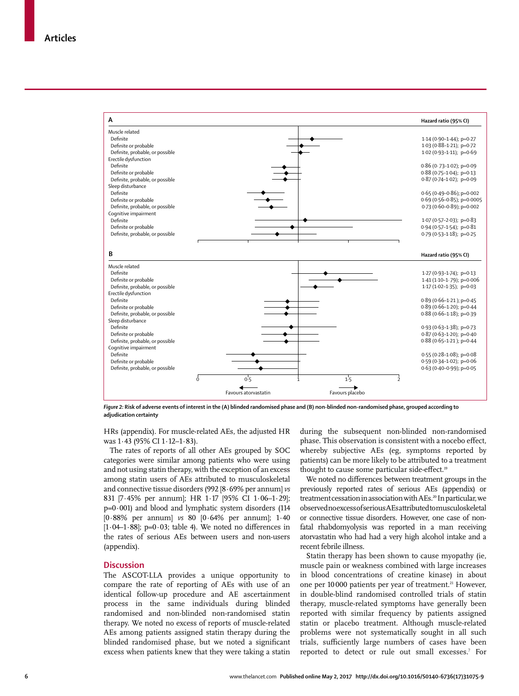

*Figure 2:* **Risk of adverse events of interest in the (A) blinded randomised phase and (B) non-blinded non-randomised phase, grouped according to adjudication certainty**

HRs (appendix). For muscle-related AEs, the adjusted HR was 1·43 (95% CI 1·12–1·83).

The rates of reports of all other AEs grouped by SOC categories were similar among patients who were using and not using statin therapy, with the exception of an excess among statin users of AEs attributed to musculoskeletal and connective tissue disorders (992 [8·69% per annum] *vs* 831 [7·45% per annum]; HR 1·17 [95% CI 1·06–1·29]; p=0·001) and blood and lymphatic system disorders (114 [0·88% per annum] *vs* 80 [0·64% per annum]; 1·40  $[1.04–1.88]$ ; p=0.03; table 4). We noted no differences in the rates of serious AEs between users and non-users (appendix).

## **Discussion**

The ASCOT-LLA provides a unique opportunity to compare the rate of reporting of AEs with use of an identical follow-up procedure and AE ascertainment process in the same individuals during blinded randomised and non-blinded non-randomised statin therapy. We noted no excess of reports of muscle-related AEs among patients assigned statin therapy during the blinded randomised phase, but we noted a significant excess when patients knew that they were taking a statin during the subsequent non-blinded non-randomised phase. This observation is consistent with a nocebo effect, whereby subjective AEs (eg, symptoms reported by patients) can be more likely to be attributed to a treatment thought to cause some particular side-effect.<sup>19</sup>

We noted no differences between treatment groups in the previously reported rates of serious AEs (appendix) or treatment cessation in association with AEs.<sup>20</sup> In particular, we observed no excess of serious AEs attributed to musculoskeletal or connective tissue disorders. However, one case of nonfatal rhabdomyolysis was reported in a man receiving atorvastatin who had had a very high alcohol intake and a recent febrile illness.

Statin therapy has been shown to cause myopathy (ie, muscle pain or weakness combined with large increases in blood concentrations of creatine kinase) in about one per 10 000 patients per year of treatment.<sup>21</sup> However, in double-blind randomised controlled trials of statin therapy, muscle-related symptoms have generally been reported with similar frequency by patients assigned statin or placebo treatment. Although muscle-related problems were not systematically sought in all such trials, sufficiently large numbers of cases have been reported to detect or rule out small excesses.<sup>7</sup> For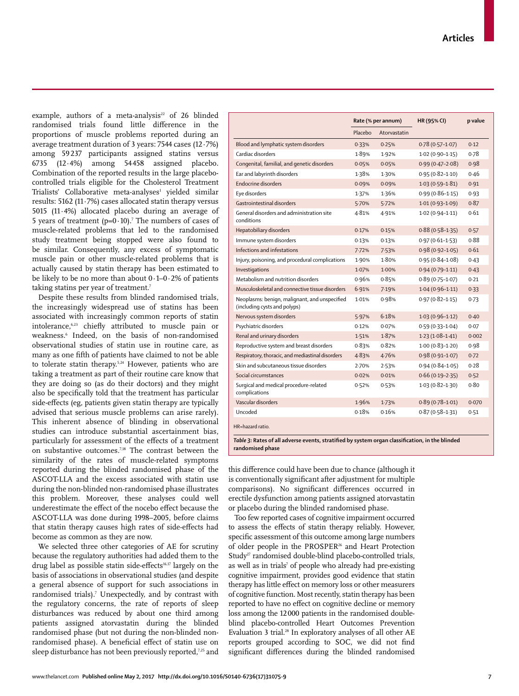example, authors of a meta-analysis<sup>22</sup> of 26 blinded randomised trials found little difference in the proportions of muscle problems reported during an average treatment duration of 3 years: 7544 cases (12·7%) among 59237 participants assigned statins versus 6735 (12·4%) among 54 458 assigned placebo. Combination of the reported results in the large placebocontrolled trials eligible for the Cholesterol Treatment Trialists' Collaborative meta-analyses1 yielded similar results: 5162 (11·7%) cases allocated statin therapy versus 5015 (11·4%) allocated placebo during an average of 5 years of treatment ( $p=0.10$ ).<sup>7</sup> The numbers of cases of muscle-related problems that led to the randomised study treatment being stopped were also found to be similar. Consequently, any excess of symptomatic muscle pain or other muscle-related problems that is actually caused by statin therapy has been estimated to be likely to be no more than about  $0.1-0.2\%$  of patients taking statins per year of treatment.<sup>7</sup>

Despite these results from blinded randomised trials, the increasingly widespread use of statins has been associated with increasingly common reports of statin intolerance,<sup>6,23</sup> chiefly attributed to muscle pain or weakness.6 Indeed, on the basis of non-randomised observational studies of statin use in routine care, as many as one fifth of patients have claimed to not be able to tolerate statin therapy.<sup>5,24</sup> However, patients who are taking a treatment as part of their routine care know that they are doing so (as do their doctors) and they might also be specifically told that the treatment has particular side-effects (eg, patients given statin therapy are typically advised that serious muscle problems can arise rarely). This inherent absence of blinding in observational studies can introduce substantial ascertainment bias, particularly for assessment of the effects of a treatment on substantive outcomes.7,18 The contrast between the similarity of the rates of muscle-related symptoms reported during the blinded randomised phase of the ASCOT-LLA and the excess associated with statin use during the non-blinded non-randomised phase illustrates this problem. Moreover, these analyses could well underestimate the effect of the nocebo effect because the ASCOT-LLA was done during 1998–2005, before claims that statin therapy causes high rates of side-effects had become as common as they are now.

We selected three other categories of AE for scrutiny because the regulatory authorities had added them to the drug label as possible statin side-effects<sup>16,17</sup> largely on the basis of associations in observational studies (and despite a general absence of support for such associations in randomised trials).7 Unexpectedly, and by contrast with the regulatory concerns, the rate of reports of sleep disturbances was reduced by about one third among patients assigned atorvastatin during the blinded randomised phase (but not during the non-blinded nonrandomised phase). A beneficial effect of statin use on sleep disturbance has not been previously reported,<sup>7,25</sup> and

|                                                                               |         | Rate (% per annum) | HR (95% CI)         | p value |
|-------------------------------------------------------------------------------|---------|--------------------|---------------------|---------|
|                                                                               | Placebo | Atorvastatin       |                     |         |
| Blood and lymphatic system disorders                                          | 0.33%   | 0.25%              | $0.78(0.57 - 1.07)$ | 0.12    |
| Cardiac disorders                                                             | 1.89%   | 1.92%              | $1.02(0.90-1.15)$   | 0.78    |
| Congenital, familial, and genetic disorders                                   | 0.05%   | 0.05%              | $0.99(0.47 - 2.08)$ | 0.98    |
| Ear and labyrinth disorders                                                   | 1.38%   | 1.30%              | $0.95(0.82 - 1.10)$ | 0.46    |
| <b>Endocrine disorders</b>                                                    | 0.09%   | 0.09%              | $1.03(0.59 - 1.81)$ | 0.91    |
| Eye disorders                                                                 | 1.37%   | 1.36%              | $0.99(0.86 - 1.15)$ | 0.93    |
| Gastrointestinal disorders                                                    | 5.70%   | 5.72%              | $1.01(0.93 - 1.09)$ | 0.87    |
| General disorders and administration site<br>conditions                       | 4.81%   | 4.91%              | $1.02(0.94 - 1.11)$ | 0.61    |
| Hepatobiliary disorders                                                       | 0.17%   | 0.15%              | $0.88(0.58 - 1.35)$ | 0.57    |
| Immune system disorders                                                       | 0.13%   | 0.13%              | $0.97(0.61 - 1.53)$ | 0.88    |
| Infections and infestations                                                   | 7.72%   | 7.53%              | $0.98(0.92 - 1.05)$ | 0.61    |
| Injury, poisoning, and procedural complications                               | 1.90%   | 1.80%              | $0.95(0.84 - 1.08)$ | 0.43    |
| Investigations                                                                | 1.07%   | 1.00%              | $0.94(0.79 - 1.11)$ | 0.43    |
| Metabolism and nutrition disorders                                            | 0.96%   | 0.85%              | $0.89(0.75-1.07)$   | 0.21    |
| Musculoskeletal and connective tissue disorders                               | 6.91%   | 7.19%              | $1.04(0.96 - 1.11)$ | 0.33    |
| Neoplasms: benign, malignant, and unspecified<br>(including cysts and polyps) | 1.01%   | 0.98%              | $0.97(0.82 - 1.15)$ | 0.73    |
| Nervous system disorders                                                      | 5.97%   | 6.18%              | $1.03(0.96 - 1.12)$ | 0.40    |
| Psychiatric disorders                                                         | 0.12%   | 0.07%              | $0.59(0.33 - 1.04)$ | 0.07    |
| Renal and urinary disorders                                                   | 1.51%   | 1.87%              | $1.23(1.08-1.41)$   | 0.002   |
| Reproductive system and breast disorders                                      | 0.83%   | 0.82%              | $1.00(0.83 - 1.20)$ | 0.98    |
| Respiratory, thoracic, and mediastinal disorders                              | 4.83%   | 4.76%              | $0.98(0.91 - 1.07)$ | 0.72    |
| Skin and subcutaneous tissue disorders                                        | 2.70%   | 2.53%              | $0.94(0.84 - 1.05)$ | 0.28    |
| Social circumstances                                                          | 0.02%   | 0.01%              | $0.66(0.19-2.35)$   | 0.52    |
| Surgical and medical procedure-related<br>complications                       | 0.52%   | 0.53%              | $1.03(0.82 - 1.30)$ | 0.80    |
| Vascular disorders                                                            | 1.96%   | 1.73%              | $0.89(0.78 - 1.01)$ | 0.070   |
| Uncoded                                                                       | 0.18%   | 0.16%              | $0.87(0.58 - 1.31)$ | 0.51    |

*Table 3:* **Rates of all adverse events, stratified by system organ classification, in the blinded randomised phase**

this difference could have been due to chance (although it is conventionally significant after adjustment for multiple comparisons). No significant differences occurred in erectile dysfunction among patients assigned atorvastatin or placebo during the blinded randomised phase.

Too few reported cases of cognitive impairment occurred to assess the effects of statin therapy reliably. However, specific assessment of this outcome among large numbers of older people in the PROSPER26 and Heart Protection Study<sup>27</sup> randomised double-blind placebo-controlled trials, as well as in trials<sup>7</sup> of people who already had pre-existing cognitive impairment, provides good evidence that statin therapy has little effect on memory loss or other measurers of cognitive function. Most recently, statin therapy has been reported to have no effect on cognitive decline or memory loss among the 12000 patients in the randomised doubleblind placebo-controlled Heart Outcomes Prevention Evaluation 3 trial.<sup>28</sup> In exploratory analyses of all other AE reports grouped according to SOC, we did not find significant differences during the blinded randomised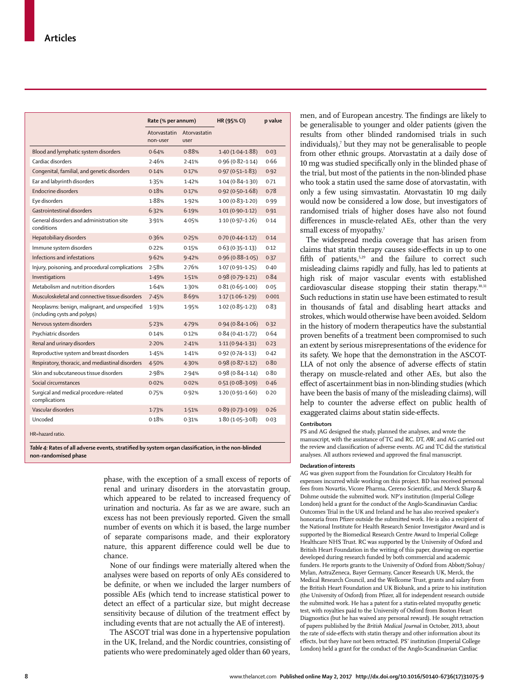|                                                                               | Rate (% per annum)       |                      | <b>HR (95% CI)</b>  | p value |  |
|-------------------------------------------------------------------------------|--------------------------|----------------------|---------------------|---------|--|
|                                                                               | Atorvastatin<br>non-user | Atorvastatin<br>user |                     |         |  |
| Blood and lymphatic system disorders                                          | 0.64%                    | 0.88%                | $1.40(1.04 - 1.88)$ | 0.03    |  |
| Cardiac disorders                                                             | 2.46%                    | 2.41%                | $0.96(0.82 - 1.14)$ | 0.66    |  |
| Congenital, familial, and genetic disorders                                   | 0.14%                    | 0.17%                | $0.97(0.51 - 1.83)$ | 0.92    |  |
| Ear and labyrinth disorders                                                   | 1.35%                    | 1.42%                | $1.04(0.84 - 1.30)$ | 0.71    |  |
| <b>Endocrine disorders</b>                                                    | 0.18%                    | 0.17%                | $0.92(0.50-1.68)$   | 0.78    |  |
| Eye disorders                                                                 | 1.88%                    | 1.92%                | $1.00(0.83 - 1.20)$ | 0.99    |  |
| Gastrointestinal disorders                                                    | 6.32%                    | 6.19%                | $1.01(0.90 - 1.12)$ | 0.91    |  |
| General disorders and administration site<br>conditions                       | 3.91%                    | 4.05%                | $1.10(0.97 - 1.26)$ | 0.14    |  |
| Hepatobiliary disorders                                                       | 0.36%                    | 0.25%                | $0.70(0.44 - 1.12)$ | 0.14    |  |
| Immune system disorders                                                       | 0.22%                    | 0.15%                | $0.63(0.35 - 1.13)$ | 0.12    |  |
| Infections and infestations                                                   | 9.62%                    | 9.42%                | $0.96(0.88 - 1.05)$ | 0.37    |  |
| Injury, poisoning, and procedural complications                               | 2.58%                    | 2.76%                | $1.07(0.91 - 1.25)$ | 0.40    |  |
| Investigations                                                                | 1.49%                    | 1.51%                | $0.98(0.79 - 1.21)$ | 0.84    |  |
| Metabolism and nutrition disorders                                            | 1.64%                    | 1.30%                | $0.81(0.65 - 1.00)$ | 0.05    |  |
| Musculoskeletal and connective tissue disorders                               | 7.45%                    | 8.69%                | $1.17(1.06-1.29)$   | 0.001   |  |
| Neoplasms: benign, malignant, and unspecified<br>(including cysts and polyps) | 1.93%                    | 1.95%                | $1.02(0.85 - 1.23)$ | 0.83    |  |
| Nervous system disorders                                                      | 5.23%                    | 4.79%                | $0.94(0.84 - 1.06)$ | 0.32    |  |
| Psychiatric disorders                                                         | 0.14%                    | 0.12%                | $0.84(0.41 - 1.72)$ | 0.64    |  |
| Renal and urinary disorders                                                   | 2.20%                    | 2.41%                | $1.11(0.94-1.31)$   | 0.23    |  |
| Reproductive system and breast disorders                                      | 1.45%                    | 1.41%                | $0.92(0.74 - 1.13)$ | 0.42    |  |
| Respiratory, thoracic, and mediastinal disorders                              | 4.50%                    | 4.30%                | $0.98(0.87 - 1.12)$ | 0.80    |  |
| Skin and subcutaneous tissue disorders                                        | 2.98%                    | 2.94%                | $0.98(0.84 - 1.14)$ | 0.80    |  |
| Social circumstances                                                          | 0.02%                    | 0.02%                | $0.51(0.08-3.09)$   | 0.46    |  |
| Surgical and medical procedure-related<br>complications                       | 0.75%                    | 0.92%                | $1.20(0.91 - 1.60)$ | 0.20    |  |
| Vascular disorders                                                            | 1.73%                    | 1.51%                | $0.89(0.73 - 1.09)$ | 0.26    |  |
| Uncoded                                                                       | 0.18%                    | 0.31%                | $1.80(1.05-3.08)$   | 0.03    |  |
| HR=hazard ratio.                                                              |                          |                      |                     |         |  |

*Table 4:* **Rates of all adverse events, stratified by system organ classification, in the non-blinded non-randomised phase**

> phase, with the exception of a small excess of reports of renal and urinary disorders in the atorvastatin group, which appeared to be related to increased frequency of urination and nocturia. As far as we are aware, such an excess has not been previously reported. Given the small number of events on which it is based, the large number of separate comparisons made, and their exploratory nature, this apparent difference could well be due to chance.

> None of our findings were materially altered when the analyses were based on reports of only AEs considered to be definite, or when we included the larger numbers of possible AEs (which tend to increase statistical power to detect an effect of a particular size, but might decrease sensitivity because of dilution of the treatment effect by including events that are not actually the AE of interest).

> The ASCOT trial was done in a hypertensive population in the UK, Ireland, and the Nordic countries, consisting of patients who were predominately aged older than 60 years,

men, and of European ancestry. The findings are likely to be generalisable to younger and older patients (given the results from other blinded randomised trials in such individuals),7 but they may not be generalisable to people from other ethnic groups. Atorvastatin at a daily dose of 10 mg was studied specifically only in the blinded phase of the trial, but most of the patients in the non-blinded phase who took a statin used the same dose of atorvastatin, with only a few using simvastatin. Atorvastatin 10 mg daily would now be considered a low dose, but investigators of randomised trials of higher doses have also not found differences in muscle-related AEs, other than the very small excess of myopathy.<sup>7</sup>

The widespread media coverage that has arisen from claims that statin therapy causes side-effects in up to one fifth of patients,<sup>5,29</sup> and the failure to correct such misleading claims rapidly and fully, has led to patients at high risk of major vascular events with established cardiovascular disease stopping their statin therapy.30,31 Such reductions in statin use have been estimated to result in thousands of fatal and disabling heart attacks and strokes, which would otherwise have been avoided. Seldom in the history of modern therapeutics have the substantial proven benefits of a treatment been compromised to such an extent by serious misrepresentations of the evidence for its safety. We hope that the demonstration in the ASCOT-LLA of not only the absence of adverse effects of statin therapy on muscle-related and other AEs, but also the effect of ascertainment bias in non-blinding studies (which have been the basis of many of the misleading claims), will help to counter the adverse effect on public health of exaggerated claims about statin side-effects.

## **Contributors**

PS and AG designed the study, planned the analyses, and wrote the manuscript, with the assistance of TC and RC. DT, AW, and AG carried out the review and classification of adverse events. AG and TC did the statistical analyses. All authors reviewed and approved the final manuscript.

#### **Declaration of interests**

AG was given support from the Foundation for Circulatory Health for expenses incurred while working on this project. BD has received personal fees from Novartis, Vicore Pharma, Cereno Scientific, and Merck Sharp & Dohme outside the submitted work. NP's institution (Imperial College London) held a grant for the conduct of the Anglo-Scandinavian Cardiac Outcomes Trial in the UK and Ireland and he has also received speaker's honoraria from Pfizer outside the submitted work. He is also a recipient of the National Institute for Health Research Senior Investigator Award and is supported by the Biomedical Research Centre Award to Imperial College Healthcare NHS Trust. RC was supported by the University of Oxford and British Heart Foundation in the writing of this paper, drawing on expertise developed during research funded by both commercial and academic funders. He reports grants to the University of Oxford from Abbott/Solvay/ Mylan, AstraZeneca, Bayer Germany, Cancer Research UK, Merck, the Medical Research Council, and the Wellcome Trust, grants and salary from the British Heart Foundation and UK Biobank, and a prize to his institution (the University of Oxford) from Pfizer, all for independent research outside the submitted work. He has a patent for a statin-related myopathy genetic test, with royalties paid to the University of Oxford from Boston Heart Diagnostics (but he has waived any personal reward). He sought retraction of papers published by the *British Medical Journal* in October, 2013, about the rate of side-effects with statin therapy and other information about its effects, but they have not been retracted. PS' institution (Imperial College London) held a grant for the conduct of the Anglo-Scandinavian Cardiac